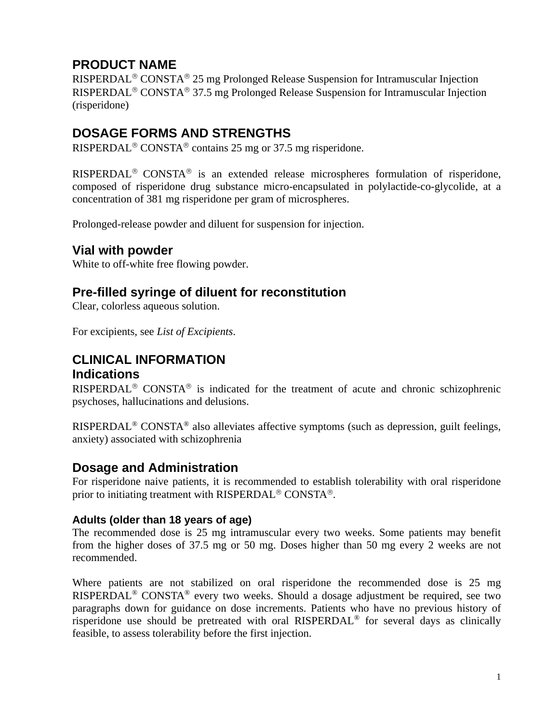# **PRODUCT NAME**

RISPERDAL<sup>®</sup> CONSTA<sup>®</sup> 25 mg Prolonged Release Suspension for Intramuscular Injection RISPERDAL<sup>®</sup> CONSTA<sup>®</sup> 37.5 mg Prolonged Release Suspension for Intramuscular Injection (risperidone)

# **DOSAGE FORMS AND STRENGTHS**

RISPERDAL<sup>®</sup> CONSTA<sup>®</sup> contains 25 mg or 37.5 mg risperidone.

RISPERDAL<sup>®</sup> CONSTA<sup>®</sup> is an extended release microspheres formulation of risperidone, composed of risperidone drug substance micro-encapsulated in polylactide-co-glycolide, at a concentration of 381 mg risperidone per gram of microspheres.

Prolonged-release powder and diluent for suspension for injection.

# **Vial with powder**

White to off-white free flowing powder.

# **Pre-filled syringe of diluent for reconstitution**

Clear, colorless aqueous solution.

For excipients, see *List of Excipients*.

# **CLINICAL INFORMATION Indications**

RISPERDAL<sup>®</sup> CONSTA<sup>®</sup> is indicated for the treatment of acute and chronic schizophrenic psychoses, hallucinations and delusions.

RISPERDAL® CONSTA® also alleviates affective symptoms (such as depression, guilt feelings, anxiety) associated with schizophrenia

# **Dosage and Administration**

For risperidone naive patients, it is recommended to establish tolerability with oral risperidone prior to initiating treatment with RISPERDAL<sup>®</sup> CONSTA<sup>®</sup>.

### **Adults (older than 18 years of age)**

The recommended dose is 25 mg intramuscular every two weeks. Some patients may benefit from the higher doses of 37.5 mg or 50 mg. Doses higher than 50 mg every 2 weeks are not recommended.

Where patients are not stabilized on oral risperidone the recommended dose is 25 mg RISPERDAL® CONSTA® every two weeks. Should a dosage adjustment be required, see two paragraphs down for guidance on dose increments. Patients who have no previous history of risperidone use should be pretreated with oral RISPERDAL® for several days as clinically feasible, to assess tolerability before the first injection.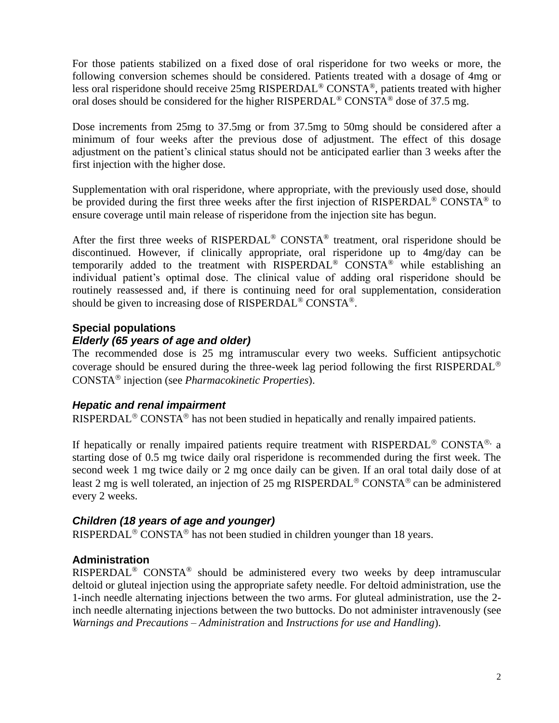For those patients stabilized on a fixed dose of oral risperidone for two weeks or more, the following conversion schemes should be considered. Patients treated with a dosage of 4mg or less oral risperidone should receive 25mg RISPERDAL® CONSTA®, patients treated with higher oral doses should be considered for the higher RISPERDAL<sup>®</sup> CONSTA<sup>®</sup> dose of 37.5 mg.

Dose increments from 25mg to 37.5mg or from 37.5mg to 50mg should be considered after a minimum of four weeks after the previous dose of adjustment. The effect of this dosage adjustment on the patient's clinical status should not be anticipated earlier than 3 weeks after the first injection with the higher dose.

Supplementation with oral risperidone, where appropriate, with the previously used dose, should be provided during the first three weeks after the first injection of RISPERDAL<sup>®</sup> CONSTA<sup>®</sup> to ensure coverage until main release of risperidone from the injection site has begun.

After the first three weeks of RISPERDAL<sup>®</sup> CONSTA<sup>®</sup> treatment, oral risperidone should be discontinued. However, if clinically appropriate, oral risperidone up to 4mg/day can be temporarily added to the treatment with RISPERDAL® CONSTA® while establishing an individual patient's optimal dose. The clinical value of adding oral risperidone should be routinely reassessed and, if there is continuing need for oral supplementation, consideration should be given to increasing dose of RISPERDAL® CONSTA®.

## **Special populations** *Elderly (65 years of age and older)*

The recommended dose is 25 mg intramuscular every two weeks. Sufficient antipsychotic coverage should be ensured during the three-week lag period following the first RISPERDAL CONSTA injection (see *Pharmacokinetic Properties*).

### *Hepatic and renal impairment*

RISPERDAL<sup>®</sup> CONSTA<sup>®</sup> has not been studied in hepatically and renally impaired patients.

If hepatically or renally impaired patients require treatment with RISPERDAL<sup>®</sup> CONSTA<sup>®,</sup> a starting dose of 0.5 mg twice daily oral risperidone is recommended during the first week. The second week 1 mg twice daily or 2 mg once daily can be given. If an oral total daily dose of at least 2 mg is well tolerated, an injection of 25 mg RISPERDAL<sup>®</sup> CONSTA<sup>®</sup> can be administered every 2 weeks.

### *Children (18 years of age and younger)*

RISPERDAL<sup>®</sup> CONSTA<sup>®</sup> has not been studied in children younger than 18 years.

### **Administration**

RISPERDAL® CONSTA® should be administered every two weeks by deep intramuscular deltoid or gluteal injection using the appropriate safety needle. For deltoid administration, use the 1-inch needle alternating injections between the two arms. For gluteal administration, use the 2 inch needle alternating injections between the two buttocks. Do not administer intravenously (see *Warnings and Precautions – Administration* and *Instructions for use and Handling*).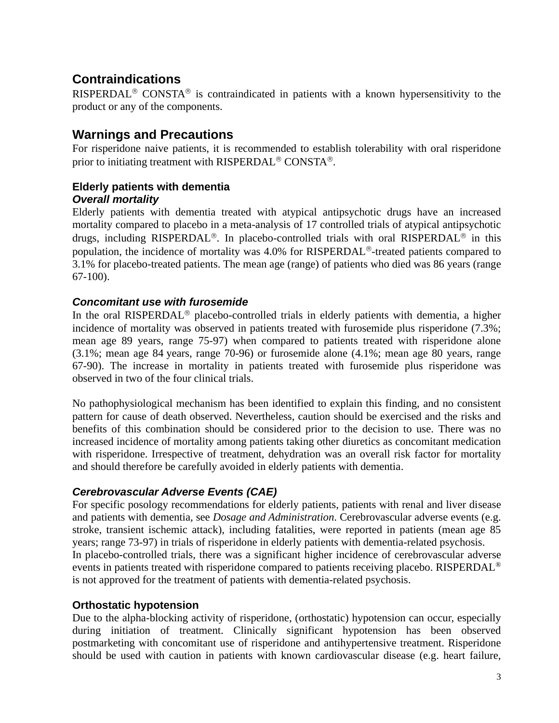# **Contraindications**

RISPERDAL<sup>®</sup> CONSTA<sup>®</sup> is contraindicated in patients with a known hypersensitivity to the product or any of the components.

# **Warnings and Precautions**

For risperidone naive patients, it is recommended to establish tolerability with oral risperidone prior to initiating treatment with RISPERDAL<sup>®</sup> CONSTA<sup>®</sup>.

### **Elderly patients with dementia** *Overall mortality*

Elderly patients with dementia treated with atypical antipsychotic drugs have an increased mortality compared to placebo in a meta-analysis of 17 controlled trials of atypical antipsychotic drugs, including RISPERDAL<sup>®</sup>. In placebo-controlled trials with oral RISPERDAL<sup>®</sup> in this population, the incidence of mortality was 4.0% for RISPERDAL<sup>®</sup>-treated patients compared to 3.1% for placebo-treated patients. The mean age (range) of patients who died was 86 years (range 67-100).

### *Concomitant use with furosemide*

In the oral RISPERDAL<sup>®</sup> placebo-controlled trials in elderly patients with dementia, a higher incidence of mortality was observed in patients treated with furosemide plus risperidone (7.3%; mean age 89 years, range 75-97) when compared to patients treated with risperidone alone (3.1%; mean age 84 years, range 70-96) or furosemide alone (4.1%; mean age 80 years, range 67-90). The increase in mortality in patients treated with furosemide plus risperidone was observed in two of the four clinical trials.

No pathophysiological mechanism has been identified to explain this finding, and no consistent pattern for cause of death observed. Nevertheless, caution should be exercised and the risks and benefits of this combination should be considered prior to the decision to use. There was no increased incidence of mortality among patients taking other diuretics as concomitant medication with risperidone. Irrespective of treatment, dehydration was an overall risk factor for mortality and should therefore be carefully avoided in elderly patients with dementia.

### *Cerebrovascular Adverse Events (CAE)*

For specific posology recommendations for elderly patients, patients with renal and liver disease and patients with dementia, see *Dosage and Administration*. Cerebrovascular adverse events (e.g. stroke, transient ischemic attack), including fatalities, were reported in patients (mean age 85 years; range 73-97) in trials of risperidone in elderly patients with dementia-related psychosis. In placebo-controlled trials, there was a significant higher incidence of cerebrovascular adverse events in patients treated with risperidone compared to patients receiving placebo. RISPERDAL® is not approved for the treatment of patients with dementia-related psychosis.

### **Orthostatic hypotension**

Due to the alpha-blocking activity of risperidone, (orthostatic) hypotension can occur, especially during initiation of treatment. Clinically significant hypotension has been observed postmarketing with concomitant use of risperidone and antihypertensive treatment. Risperidone should be used with caution in patients with known cardiovascular disease (e.g. heart failure,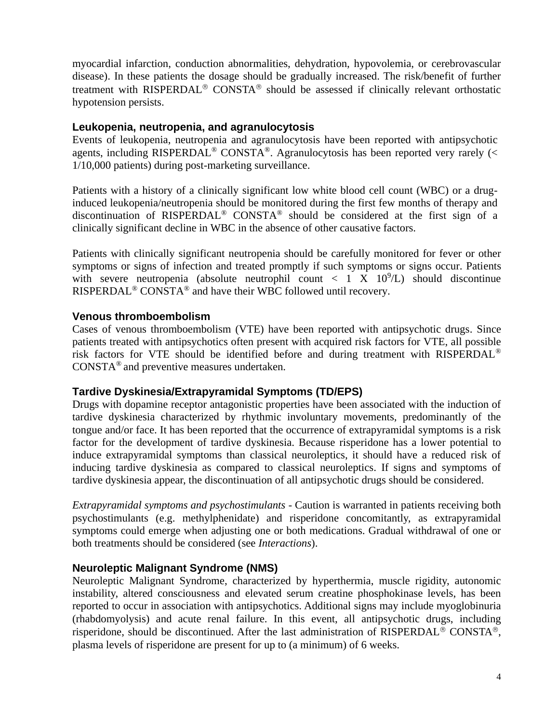myocardial infarction, conduction abnormalities, dehydration, hypovolemia, or cerebrovascular disease). In these patients the dosage should be gradually increased. The risk/benefit of further treatment with RISPERDAL<sup>®</sup> CONSTA<sup>®</sup> should be assessed if clinically relevant orthostatic hypotension persists.

### **Leukopenia, neutropenia, and agranulocytosis**

Events of leukopenia, neutropenia and agranulocytosis have been reported with antipsychotic agents, including RISPERDAL<sup>®</sup> CONSTA<sup>®</sup>. Agranulocytosis has been reported very rarely (< 1/10,000 patients) during post-marketing surveillance.

Patients with a history of a clinically significant low white blood cell count (WBC) or a druginduced leukopenia/neutropenia should be monitored during the first few months of therapy and discontinuation of RISPERDAL® CONSTA® should be considered at the first sign of a clinically significant decline in WBC in the absence of other causative factors.

Patients with clinically significant neutropenia should be carefully monitored for fever or other symptoms or signs of infection and treated promptly if such symptoms or signs occur. Patients with severe neutropenia (absolute neutrophil count  $\langle 1 \times 10^9/L \rangle$  should discontinue RISPERDAL® CONSTA® and have their WBC followed until recovery.

### **Venous thromboembolism**

Cases of venous thromboembolism (VTE) have been reported with antipsychotic drugs. Since patients treated with antipsychotics often present with acquired risk factors for VTE, all possible risk factors for VTE should be identified before and during treatment with RISPERDAL® CONSTA® and preventive measures undertaken.

### **Tardive Dyskinesia/Extrapyramidal Symptoms (TD/EPS)**

Drugs with dopamine receptor antagonistic properties have been associated with the induction of tardive dyskinesia characterized by rhythmic involuntary movements, predominantly of the tongue and/or face. It has been reported that the occurrence of extrapyramidal symptoms is a risk factor for the development of tardive dyskinesia. Because risperidone has a lower potential to induce extrapyramidal symptoms than classical neuroleptics, it should have a reduced risk of inducing tardive dyskinesia as compared to classical neuroleptics. If signs and symptoms of tardive dyskinesia appear, the discontinuation of all antipsychotic drugs should be considered.

*Extrapyramidal symptoms and psychostimulants* - Caution is warranted in patients receiving both psychostimulants (e.g. methylphenidate) and risperidone concomitantly, as extrapyramidal symptoms could emerge when adjusting one or both medications. Gradual withdrawal of one or both treatments should be considered (see *Interactions*).

### **Neuroleptic Malignant Syndrome (NMS)**

Neuroleptic Malignant Syndrome, characterized by hyperthermia, muscle rigidity, autonomic instability, altered consciousness and elevated serum creatine phosphokinase levels, has been reported to occur in association with antipsychotics. Additional signs may include myoglobinuria (rhabdomyolysis) and acute renal failure. In this event, all antipsychotic drugs, including risperidone, should be discontinued. After the last administration of RISPERDAL<sup>®</sup> CONSTA<sup>®</sup>, plasma levels of risperidone are present for up to (a minimum) of 6 weeks.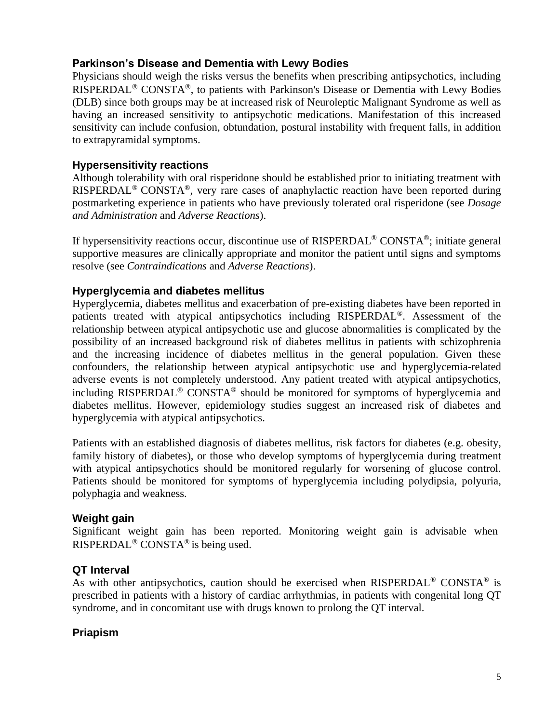### **Parkinson's Disease and Dementia with Lewy Bodies**

Physicians should weigh the risks versus the benefits when prescribing antipsychotics, including RISPERDAL<sup>®</sup> CONSTA<sup>®</sup>, to patients with Parkinson's Disease or Dementia with Lewy Bodies (DLB) since both groups may be at increased risk of Neuroleptic Malignant Syndrome as well as having an increased sensitivity to antipsychotic medications. Manifestation of this increased sensitivity can include confusion, obtundation, postural instability with frequent falls, in addition to extrapyramidal symptoms.

### **Hypersensitivity reactions**

Although tolerability with oral risperidone should be established prior to initiating treatment with RISPERDAL® CONSTA®, very rare cases of anaphylactic reaction have been reported during postmarketing experience in patients who have previously tolerated oral risperidone (see *Dosage and Administration* and *Adverse Reactions*).

If hypersensitivity reactions occur, discontinue use of RISPERDAL® CONSTA®; initiate general supportive measures are clinically appropriate and monitor the patient until signs and symptoms resolve (see *Contraindications* and *Adverse Reactions*).

### **Hyperglycemia and diabetes mellitus**

Hyperglycemia, diabetes mellitus and exacerbation of pre-existing diabetes have been reported in patients treated with atypical antipsychotics including RISPERDAL®. Assessment of the relationship between atypical antipsychotic use and glucose abnormalities is complicated by the possibility of an increased background risk of diabetes mellitus in patients with schizophrenia and the increasing incidence of diabetes mellitus in the general population. Given these confounders, the relationship between atypical antipsychotic use and hyperglycemia-related adverse events is not completely understood. Any patient treated with atypical antipsychotics, including RISPERDAL<sup>®</sup> CONSTA<sup>®</sup> should be monitored for symptoms of hyperglycemia and diabetes mellitus. However, epidemiology studies suggest an increased risk of diabetes and hyperglycemia with atypical antipsychotics.

Patients with an established diagnosis of diabetes mellitus, risk factors for diabetes (e.g. obesity, family history of diabetes), or those who develop symptoms of hyperglycemia during treatment with atypical antipsychotics should be monitored regularly for worsening of glucose control. Patients should be monitored for symptoms of hyperglycemia including polydipsia, polyuria, polyphagia and weakness.

### **Weight gain**

Significant weight gain has been reported. Monitoring weight gain is advisable when RISPERDAL<sup>®</sup> CONSTA<sup>®</sup> is being used.

### **QT Interval**

As with other antipsychotics, caution should be exercised when RISPERDAL® CONSTA® is prescribed in patients with a history of cardiac arrhythmias, in patients with congenital long QT syndrome, and in concomitant use with drugs known to prolong the QT interval.

### **Priapism**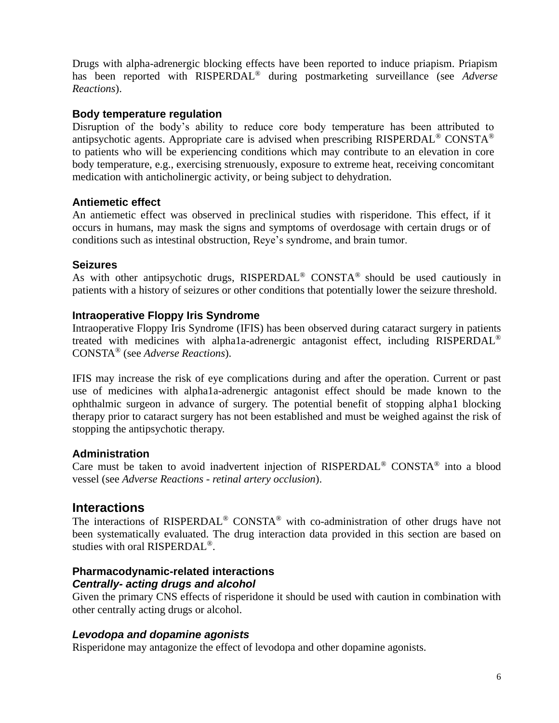Drugs with alpha-adrenergic blocking effects have been reported to induce priapism. Priapism has been reported with RISPERDAL® during postmarketing surveillance (see *Adverse Reactions*).

### **Body temperature regulation**

Disruption of the body's ability to reduce core body temperature has been attributed to antipsychotic agents. Appropriate care is advised when prescribing RISPERDAL® CONSTA® to patients who will be experiencing conditions which may contribute to an elevation in core body temperature, e.g., exercising strenuously, exposure to extreme heat, receiving concomitant medication with anticholinergic activity, or being subject to dehydration.

### **Antiemetic effect**

An antiemetic effect was observed in preclinical studies with risperidone. This effect, if it occurs in humans, may mask the signs and symptoms of overdosage with certain drugs or of conditions such as intestinal obstruction, Reye's syndrome, and brain tumor.

### **Seizures**

As with other antipsychotic drugs,  $RISPERDAL^{\circledR}$  CONSTA<sup>®</sup> should be used cautiously in patients with a history of seizures or other conditions that potentially lower the seizure threshold.

### **Intraoperative Floppy Iris Syndrome**

Intraoperative Floppy Iris Syndrome (IFIS) has been observed during cataract surgery in patients treated with medicines with alpha1a-adrenergic antagonist effect, including RISPERDAL® CONSTA® (see *Adverse Reactions*).

IFIS may increase the risk of eye complications during and after the operation. Current or past use of medicines with alpha1a-adrenergic antagonist effect should be made known to the ophthalmic surgeon in advance of surgery. The potential benefit of stopping alpha1 blocking therapy prior to cataract surgery has not been established and must be weighed against the risk of stopping the antipsychotic therapy.

### **Administration**

Care must be taken to avoid inadvertent injection of RISPERDAL® CONSTA® into a blood vessel (see *Adverse Reactions - retinal artery occlusion*).

### **Interactions**

The interactions of RISPERDAL® CONSTA® with co-administration of other drugs have not been systematically evaluated. The drug interaction data provided in this section are based on studies with oral RISPERDAL®.

### **Pharmacodynamic-related interactions** *Centrally- acting drugs and alcohol*

Given the primary CNS effects of risperidone it should be used with caution in combination with other centrally acting drugs or alcohol.

### *Levodopa and dopamine agonists*

Risperidone may antagonize the effect of levodopa and other dopamine agonists.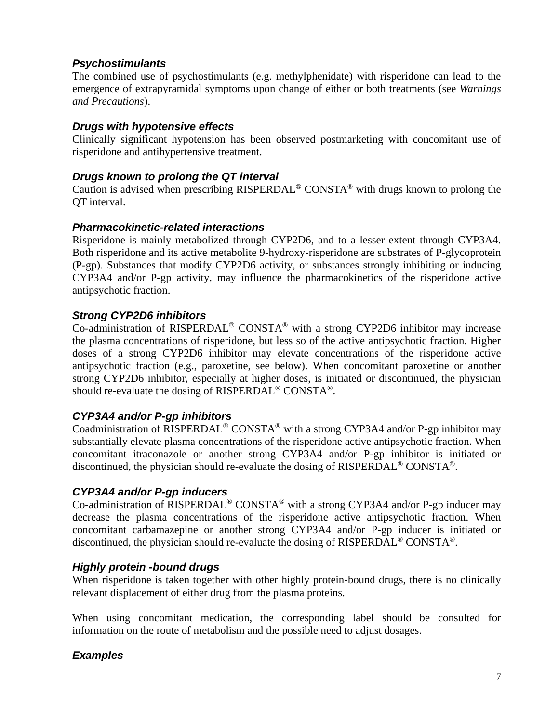### *Psychostimulants*

The combined use of psychostimulants (e.g. methylphenidate) with risperidone can lead to the emergence of extrapyramidal symptoms upon change of either or both treatments (see *Warnings and Precautions*).

### *Drugs with hypotensive effects*

Clinically significant hypotension has been observed postmarketing with concomitant use of risperidone and antihypertensive treatment.

### *Drugs known to prolong the QT interval*

Caution is advised when prescribing RISPERDAL® CONSTA® with drugs known to prolong the QT interval.

### *Pharmacokinetic-related interactions*

Risperidone is mainly metabolized through CYP2D6, and to a lesser extent through CYP3A4. Both risperidone and its active metabolite 9-hydroxy-risperidone are substrates of P-glycoprotein (P-gp). Substances that modify CYP2D6 activity, or substances strongly inhibiting or inducing CYP3A4 and/or P-gp activity, may influence the pharmacokinetics of the risperidone active antipsychotic fraction.

### *Strong CYP2D6 inhibitors*

Co-administration of RISPERDAL® CONSTA® with a strong CYP2D6 inhibitor may increase the plasma concentrations of risperidone, but less so of the active antipsychotic fraction. Higher doses of a strong CYP2D6 inhibitor may elevate concentrations of the risperidone active antipsychotic fraction (e.g., paroxetine, see below). When concomitant paroxetine or another strong CYP2D6 inhibitor, especially at higher doses, is initiated or discontinued, the physician should re-evaluate the dosing of RISPERDAL® CONSTA®.

### *CYP3A4 and/or P-gp inhibitors*

Coadministration of RISPERDAL® CONSTA® with a strong CYP3A4 and/or P-gp inhibitor may substantially elevate plasma concentrations of the risperidone active antipsychotic fraction. When concomitant itraconazole or another strong CYP3A4 and/or P-gp inhibitor is initiated or discontinued, the physician should re-evaluate the dosing of RISPERDAL® CONSTA®.

### *CYP3A4 and/or P-gp inducers*

Co-administration of RISPERDAL® CONSTA® with a strong CYP3A4 and/or P-gp inducer may decrease the plasma concentrations of the risperidone active antipsychotic fraction. When concomitant carbamazepine or another strong CYP3A4 and/or P-gp inducer is initiated or discontinued, the physician should re-evaluate the dosing of RISPERDAL® CONSTA®.

### *Highly protein -bound drugs*

When risperidone is taken together with other highly protein-bound drugs, there is no clinically relevant displacement of either drug from the plasma proteins.

When using concomitant medication, the corresponding label should be consulted for information on the route of metabolism and the possible need to adjust dosages.

### *Examples*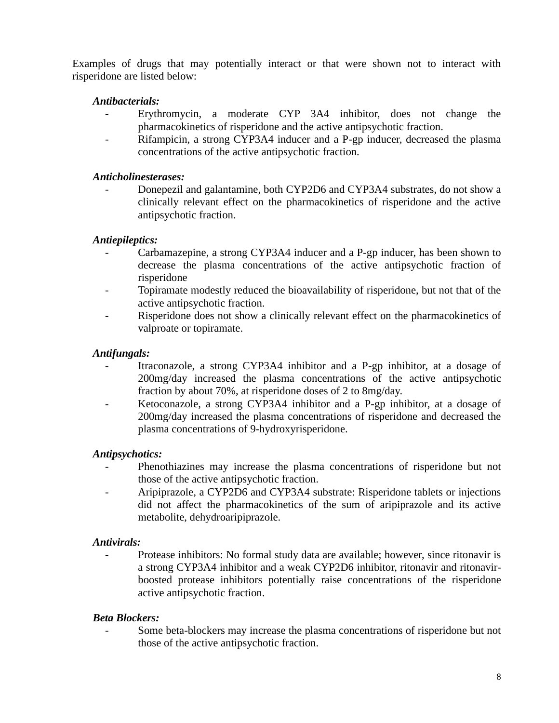Examples of drugs that may potentially interact or that were shown not to interact with risperidone are listed below:

### *Antibacterials:*

- Erythromycin, a moderate CYP 3A4 inhibitor, does not change the pharmacokinetics of risperidone and the active antipsychotic fraction.
- Rifampicin, a strong CYP3A4 inducer and a P-gp inducer, decreased the plasma concentrations of the active antipsychotic fraction.

### *Anticholinesterases:*

Donepezil and galantamine, both CYP2D6 and CYP3A4 substrates, do not show a clinically relevant effect on the pharmacokinetics of risperidone and the active antipsychotic fraction.

### *Antiepileptics:*

- Carbamazepine, a strong CYP3A4 inducer and a P-gp inducer, has been shown to decrease the plasma concentrations of the active antipsychotic fraction of risperidone
- Topiramate modestly reduced the bioavailability of risperidone, but not that of the active antipsychotic fraction.
- Risperidone does not show a clinically relevant effect on the pharmacokinetics of valproate or topiramate.

### *Antifungals:*

- Itraconazole, a strong CYP3A4 inhibitor and a P-gp inhibitor, at a dosage of 200mg/day increased the plasma concentrations of the active antipsychotic fraction by about 70%, at risperidone doses of 2 to 8mg/day.
- Ketoconazole, a strong CYP3A4 inhibitor and a P-gp inhibitor, at a dosage of 200mg/day increased the plasma concentrations of risperidone and decreased the plasma concentrations of 9-hydroxyrisperidone.

### *Antipsychotics:*

- Phenothiazines may increase the plasma concentrations of risperidone but not those of the active antipsychotic fraction.
- Aripiprazole, a CYP2D6 and CYP3A4 substrate: Risperidone tablets or injections did not affect the pharmacokinetics of the sum of aripiprazole and its active metabolite, dehydroaripiprazole.

### *Antivirals:*

- Protease inhibitors: No formal study data are available; however, since ritonavir is a strong CYP3A4 inhibitor and a weak CYP2D6 inhibitor, ritonavir and ritonavirboosted protease inhibitors potentially raise concentrations of the risperidone active antipsychotic fraction.

### *Beta Blockers:*

Some beta-blockers may increase the plasma concentrations of risperidone but not those of the active antipsychotic fraction.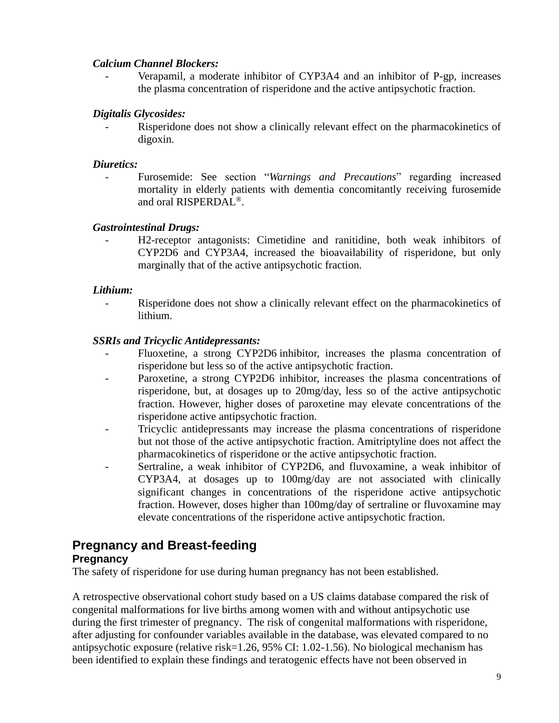### *Calcium Channel Blockers:*

Verapamil, a moderate inhibitor of CYP3A4 and an inhibitor of P-gp, increases the plasma concentration of risperidone and the active antipsychotic fraction.

### *Digitalis Glycosides:*

Risperidone does not show a clinically relevant effect on the pharmacokinetics of digoxin.

### *Diuretics:*

- Furosemide: See section "*Warnings and Precautions*" regarding increased mortality in elderly patients with dementia concomitantly receiving furosemide and oral RISPERDAL®.

### *Gastrointestinal Drugs:*

- H2-receptor antagonists: Cimetidine and ranitidine, both weak inhibitors of CYP2D6 and CYP3A4, increased the bioavailability of risperidone, but only marginally that of the active antipsychotic fraction.

### *Lithium:*

- Risperidone does not show a clinically relevant effect on the pharmacokinetics of lithium.

### *SSRIs and Tricyclic Antidepressants:*

- Fluoxetine, a strong CYP2D6 inhibitor, increases the plasma concentration of risperidone but less so of the active antipsychotic fraction.
- Paroxetine, a strong CYP2D6 inhibitor, increases the plasma concentrations of risperidone, but, at dosages up to 20mg/day, less so of the active antipsychotic fraction. However, higher doses of paroxetine may elevate concentrations of the risperidone active antipsychotic fraction.
- Tricyclic antidepressants may increase the plasma concentrations of risperidone but not those of the active antipsychotic fraction. Amitriptyline does not affect the pharmacokinetics of risperidone or the active antipsychotic fraction.
- Sertraline, a weak inhibitor of CYP2D6, and fluvoxamine, a weak inhibitor of CYP3A4, at dosages up to 100mg/day are not associated with clinically significant changes in concentrations of the risperidone active antipsychotic fraction. However, doses higher than 100mg/day of sertraline or fluvoxamine may elevate concentrations of the risperidone active antipsychotic fraction.

# **Pregnancy and Breast-feeding**

### **Pregnancy**

The safety of risperidone for use during human pregnancy has not been established.

A retrospective observational cohort study based on a US claims database compared the risk of congenital malformations for live births among women with and without antipsychotic use during the first trimester of pregnancy. The risk of congenital malformations with risperidone, after adjusting for confounder variables available in the database, was elevated compared to no antipsychotic exposure (relative risk=1.26, 95% CI: 1.02-1.56). No biological mechanism has been identified to explain these findings and teratogenic effects have not been observed in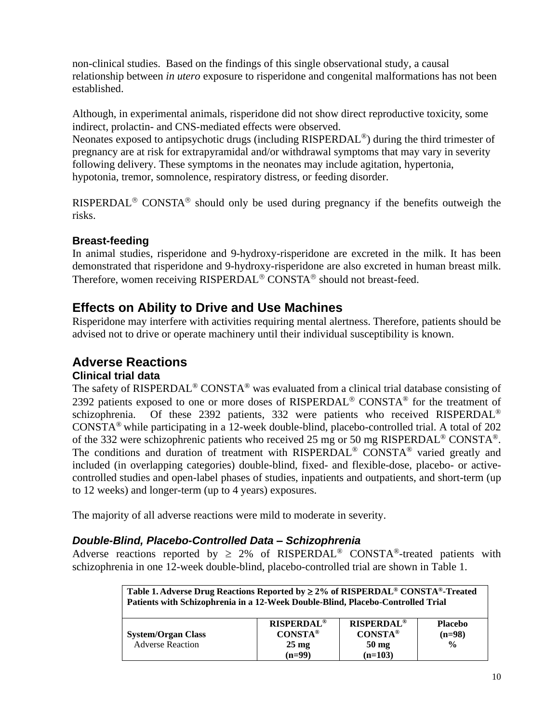non-clinical studies. Based on the findings of this single observational study, a causal relationship between *in utero* exposure to risperidone and congenital malformations has not been established.

Although, in experimental animals, risperidone did not show direct reproductive toxicity, some indirect, prolactin- and CNS-mediated effects were observed.

Neonates exposed to antipsychotic drugs (including RISPERDAL<sup>®</sup>) during the third trimester of pregnancy are at risk for extrapyramidal and/or withdrawal symptoms that may vary in severity following delivery. These symptoms in the neonates may include agitation, hypertonia, hypotonia, tremor, somnolence, respiratory distress, or feeding disorder.

RISPERDAL<sup>®</sup> CONSTA<sup>®</sup> should only be used during pregnancy if the benefits outweigh the risks.

## **Breast-feeding**

In animal studies, risperidone and 9-hydroxy-risperidone are excreted in the milk. It has been demonstrated that risperidone and 9-hydroxy-risperidone are also excreted in human breast milk. Therefore, women receiving RISPERDAL<sup>®</sup> CONSTA<sup>®</sup> should not breast-feed.

# **Effects on Ability to Drive and Use Machines**

Risperidone may interfere with activities requiring mental alertness. Therefore, patients should be advised not to drive or operate machinery until their individual susceptibility is known.

# **Adverse Reactions**

### **Clinical trial data**

The safety of RISPERDAL® CONSTA® was evaluated from a clinical trial database consisting of 2392 patients exposed to one or more doses of RISPERDAL<sup>®</sup> CONSTA<sup>®</sup> for the treatment of schizophrenia. Of these 2392 patients, 332 were patients who received RISPERDAL<sup>®</sup> CONSTA® while participating in a 12-week double-blind, placebo-controlled trial. A total of 202 of the 332 were schizophrenic patients who received 25 mg or 50 mg RISPERDAL® CONSTA®. The conditions and duration of treatment with RISPERDAL<sup>®</sup> CONSTA<sup>®</sup> varied greatly and included (in overlapping categories) double-blind, fixed- and flexible-dose, placebo- or activecontrolled studies and open-label phases of studies, inpatients and outpatients, and short-term (up to 12 weeks) and longer-term (up to 4 years) exposures.

The majority of all adverse reactions were mild to moderate in severity.

### *Double-Blind, Placebo-Controlled Data – Schizophrenia*

Adverse reactions reported by  $\geq 2\%$  of RISPERDAL<sup>®</sup> CONSTA<sup>®</sup>-treated patients with schizophrenia in one 12-week double-blind, placebo-controlled trial are shown in Table 1.

| Table 1. Adverse Drug Reactions Reported by $\geq$ 2% of RISPERDAL <sup>®</sup> CONSTA <sup>®</sup> -Treated<br>Patients with Schizophrenia in a 12-Week Double-Blind, Placebo-Controlled Trial |                                                                                     |                                                                                |                                             |
|-------------------------------------------------------------------------------------------------------------------------------------------------------------------------------------------------|-------------------------------------------------------------------------------------|--------------------------------------------------------------------------------|---------------------------------------------|
| <b>System/Organ Class</b><br><b>Adverse Reaction</b>                                                                                                                                            | <b>RISPERDAL<sup>®</sup></b><br>$CONSTA^{\circledR}$<br>$25 \text{ mg}$<br>$(n=99)$ | <b>RISPERDAL<sup>®</sup></b><br><b>CONSTA®</b><br>$50 \text{ mg}$<br>$(n=103)$ | <b>Placebo</b><br>$(n=98)$<br>$\frac{0}{0}$ |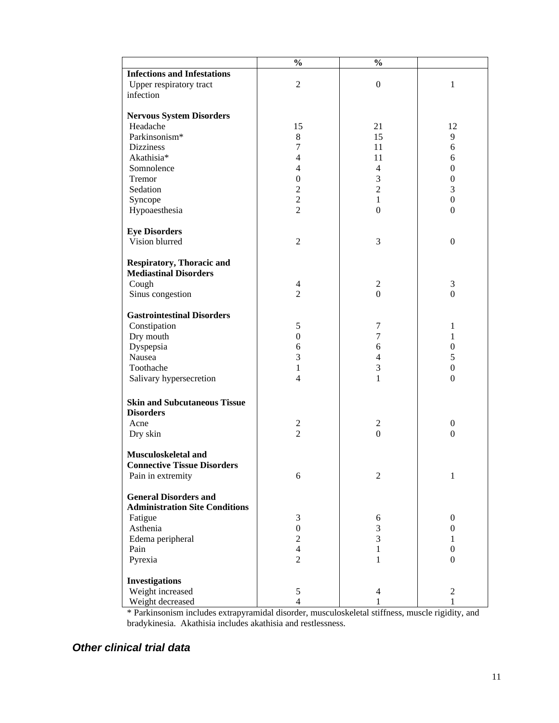|                                       | $\frac{0}{0}$            | $\frac{0}{0}$    |                  |
|---------------------------------------|--------------------------|------------------|------------------|
| <b>Infections and Infestations</b>    |                          |                  |                  |
| Upper respiratory tract               | $\overline{2}$           | $\boldsymbol{0}$ | 1                |
| infection                             |                          |                  |                  |
|                                       |                          |                  |                  |
| <b>Nervous System Disorders</b>       |                          |                  |                  |
| Headache                              | 15                       | 21               | 12               |
| Parkinsonism*                         | 8                        | 15               | 9                |
| <b>Dizziness</b>                      | 7                        | 11               | 6                |
| Akathisia*                            | $\overline{4}$           | 11               | 6                |
| Somnolence                            | $\overline{\mathcal{L}}$ | 4                | $\boldsymbol{0}$ |
| Tremor                                | $\boldsymbol{0}$         | 3                | $\boldsymbol{0}$ |
| Sedation                              | $\overline{c}$           | $\overline{c}$   | 3                |
|                                       | $\overline{2}$           | $\mathbf{1}$     | $\boldsymbol{0}$ |
| Syncope<br>Hypoaesthesia              | $\overline{2}$           | $\boldsymbol{0}$ | $\theta$         |
|                                       |                          |                  |                  |
| <b>Eye Disorders</b>                  |                          |                  |                  |
| Vision blurred                        | $\mathfrak{2}$           | 3                | $\boldsymbol{0}$ |
|                                       |                          |                  |                  |
| <b>Respiratory, Thoracic and</b>      |                          |                  |                  |
| <b>Mediastinal Disorders</b>          |                          |                  |                  |
| Cough                                 | $\overline{4}$           | $\overline{c}$   | $\mathfrak{Z}$   |
| Sinus congestion                      | $\overline{2}$           | $\boldsymbol{0}$ | $\boldsymbol{0}$ |
|                                       |                          |                  |                  |
| <b>Gastrointestinal Disorders</b>     |                          |                  |                  |
| Constipation                          | 5                        | 7                | 1                |
| Dry mouth                             | $\boldsymbol{0}$         | 7                | $\mathbf{1}$     |
| Dyspepsia                             | 6                        | 6                | $\boldsymbol{0}$ |
| Nausea                                | 3                        | 4                | 5                |
| Toothache                             | 1                        | 3                | $\boldsymbol{0}$ |
| Salivary hypersecretion               | $\overline{4}$           | 1                | $\boldsymbol{0}$ |
|                                       |                          |                  |                  |
| <b>Skin and Subcutaneous Tissue</b>   |                          |                  |                  |
| <b>Disorders</b>                      |                          |                  |                  |
| Acne                                  | $\overline{c}$           | $\overline{c}$   | $\boldsymbol{0}$ |
| Dry skin                              | $\overline{2}$           | $\boldsymbol{0}$ | $\boldsymbol{0}$ |
|                                       |                          |                  |                  |
| Musculoskeletal and                   |                          |                  |                  |
| <b>Connective Tissue Disorders</b>    |                          |                  |                  |
| Pain in extremity                     | 6                        | $\overline{2}$   | 1                |
|                                       |                          |                  |                  |
| <b>General Disorders and</b>          |                          |                  |                  |
| <b>Administration Site Conditions</b> |                          |                  |                  |
| Fatigue                               | 3                        | 6                | $\boldsymbol{0}$ |
| Asthenia                              | $\boldsymbol{0}$         | 3                | $\boldsymbol{0}$ |
| Edema peripheral                      | $\overline{2}$           | 3                | 1                |
| Pain                                  | $\overline{4}$           | 1                | $\boldsymbol{0}$ |
| Pyrexia                               | $\overline{2}$           | 1                | $\theta$         |
|                                       |                          |                  |                  |
| <b>Investigations</b>                 |                          |                  |                  |
| Weight increased                      | $\sqrt{5}$               | $\overline{4}$   | $\overline{2}$   |
| Weight decreased                      | $\overline{4}$           | 1                | $\mathbf{1}$     |

\* Parkinsonism includes extrapyramidal disorder, musculoskeletal stiffness, muscle rigidity, and bradykinesia. Akathisia includes akathisia and restlessness.

## *Other clinical trial data*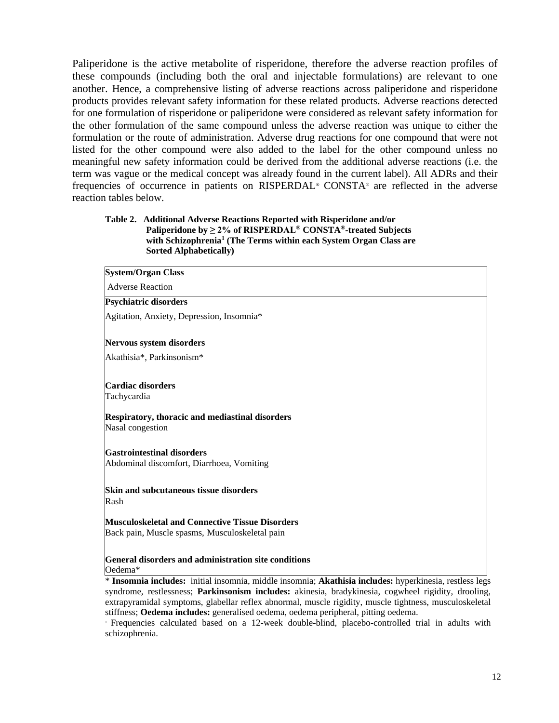Paliperidone is the active metabolite of risperidone, therefore the adverse reaction profiles of these compounds (including both the oral and injectable formulations) are relevant to one another. Hence, a comprehensive listing of adverse reactions across paliperidone and risperidone products provides relevant safety information for these related products. Adverse reactions detected for one formulation of risperidone or paliperidone were considered as relevant safety information for the other formulation of the same compound unless the adverse reaction was unique to either the formulation or the route of administration. Adverse drug reactions for one compound that were not listed for the other compound were also added to the label for the other compound unless no meaningful new safety information could be derived from the additional adverse reactions (i.e. the term was vague or the medical concept was already found in the current label). All ADRs and their frequencies of occurrence in patients on RISPERDAL® CONSTA® are reflected in the adverse reaction tables below.

### **Table 2. Additional Adverse Reactions Reported with Risperidone and/or Paliperidone by ≥ 2% of RISPERDAL® CONSTA®-treated Subjects with Schizophrenia<sup>1</sup> (The Terms within each System Organ Class are Sorted Alphabetically)**

| <b>System/Organ Class</b>                                                                                |  |
|----------------------------------------------------------------------------------------------------------|--|
| <b>Adverse Reaction</b>                                                                                  |  |
| Psychiatric disorders                                                                                    |  |
| Agitation, Anxiety, Depression, Insomnia*                                                                |  |
| <b>Nervous system disorders</b>                                                                          |  |
| Akathisia*, Parkinsonism*                                                                                |  |
| Cardiac disorders<br>Tachycardia                                                                         |  |
| <b>Respiratory, thoracic and mediastinal disorders</b><br>Nasal congestion                               |  |
| <b>Gastrointestinal disorders</b><br>Abdominal discomfort, Diarrhoea, Vomiting                           |  |
| Skin and subcutaneous tissue disorders<br>Rash                                                           |  |
| <b>Musculoskeletal and Connective Tissue Disorders</b><br>Back pain, Muscle spasms, Musculoskeletal pain |  |
| General disorders and administration site conditions<br>Oedema*                                          |  |
| * Insomnia includes: initial insomnia, middle insomnia; Akathisia includes: hyperkinesia, restless legs  |  |

syndrome, restlessness; **Parkinsonism includes:** akinesia, bradykinesia, cogwheel rigidity, drooling, extrapyramidal symptoms, glabellar reflex abnormal, muscle rigidity, muscle tightness, musculoskeletal stiffness; **Oedema includes:** generalised oedema, oedema peripheral, pitting oedema.

<sup>1</sup> Frequencies calculated based on a 12-week double-blind, placebo-controlled trial in adults with schizophrenia.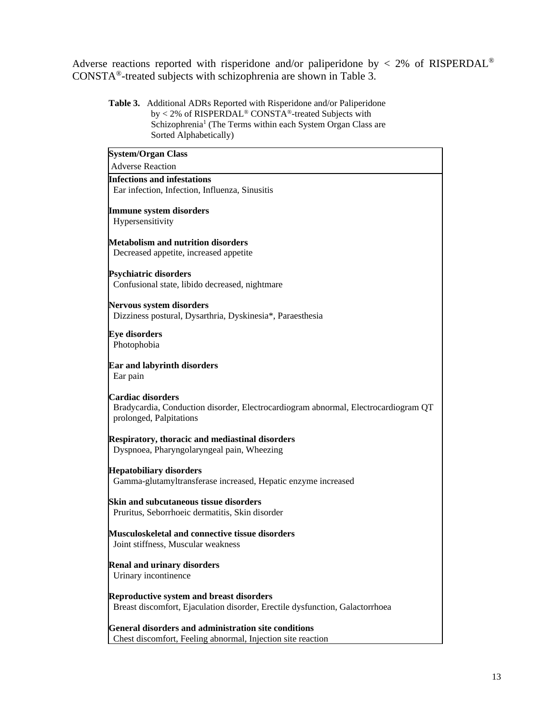Adverse reactions reported with risperidone and/or paliperidone by < 2% of RISPERDAL® CONSTA®-treated subjects with schizophrenia are shown in Table 3.

**Table 3.** Additional ADRs Reported with Risperidone and/or Paliperidone by < 2% of RISPERDAL® CONSTA®-treated Subjects with Schizophrenia<sup>1</sup> (The Terms within each System Organ Class are Sorted Alphabetically)

| <b>System/Organ Class</b>                                                          |
|------------------------------------------------------------------------------------|
| <b>Adverse Reaction</b>                                                            |
| <b>Infections and infestations</b>                                                 |
| Ear infection, Infection, Influenza, Sinusitis                                     |
| <b>Immune system disorders</b>                                                     |
| Hypersensitivity                                                                   |
|                                                                                    |
| <b>Metabolism and nutrition disorders</b>                                          |
| Decreased appetite, increased appetite                                             |
|                                                                                    |
| <b>Psychiatric disorders</b><br>Confusional state, libido decreased, nightmare     |
|                                                                                    |
| Nervous system disorders                                                           |
| Dizziness postural, Dysarthria, Dyskinesia*, Paraesthesia                          |
| <b>Eye disorders</b>                                                               |
| Photophobia                                                                        |
|                                                                                    |
| <b>Ear and labyrinth disorders</b>                                                 |
| Ear pain                                                                           |
| Cardiac disorders                                                                  |
| Bradycardia, Conduction disorder, Electrocardiogram abnormal, Electrocardiogram QT |
| prolonged, Palpitations                                                            |
|                                                                                    |
| <b>Respiratory, thoracic and mediastinal disorders</b>                             |
| Dyspnoea, Pharyngolaryngeal pain, Wheezing                                         |
| <b>Hepatobiliary disorders</b>                                                     |
| Gamma-glutamyltransferase increased, Hepatic enzyme increased                      |
|                                                                                    |
| <b>Skin and subcutaneous tissue disorders</b>                                      |
| Pruritus, Seborrhoeic dermatitis, Skin disorder                                    |
| Musculoskeletal and connective tissue disorders                                    |
| Joint stiffness, Muscular weakness                                                 |
|                                                                                    |
| <b>Renal and urinary disorders</b>                                                 |
| Urinary incontinence                                                               |
| <b>Reproductive system and breast disorders</b>                                    |
| Breast discomfort, Ejaculation disorder, Erectile dysfunction, Galactorrhoea       |
|                                                                                    |
| General disorders and administration site conditions                               |
| Chest discomfort, Feeling abnormal, Injection site reaction                        |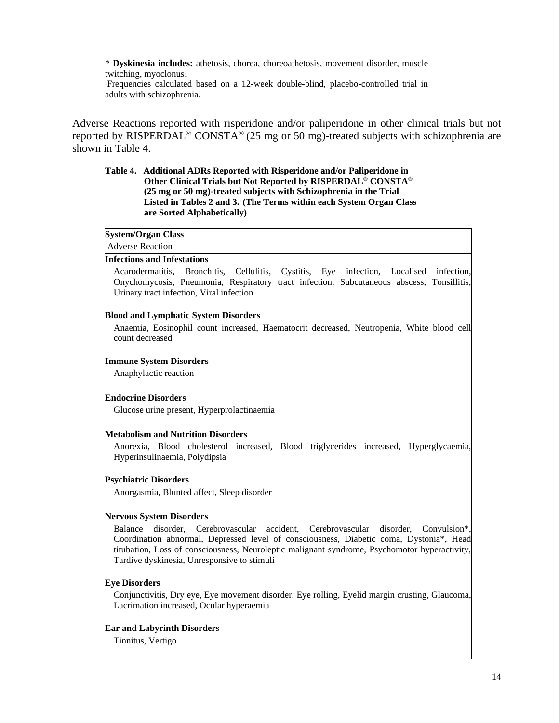\* **Dyskinesia includes:** athetosis, chorea, choreoathetosis, movement disorder, muscle twitching, myoclonus<sup>1</sup>

<sup>1</sup>Frequencies calculated based on a 12-week double-blind, placebo-controlled trial in adults with schizophrenia.

Adverse Reactions reported with risperidone and/or paliperidone in other clinical trials but not reported by RISPERDAL<sup>®</sup> CONSTA<sup>®</sup> (25 mg or 50 mg)-treated subjects with schizophrenia are shown in Table 4.

### **Table 4. Additional ADRs Reported with Risperidone and/or Paliperidone in Other Clinical Trials but Not Reported by RISPERDAL ® CONSTA® (25 mg or 50 mg)-treated subjects with Schizophrenia in the Trial**  Listed in Tables 2 and 3.<sup>1</sup> (The Terms within each System Organ Class **are Sorted Alphabetically)**

#### **System/Organ Class**

Adverse Reaction

#### **Infections and Infestations**

Acarodermatitis, Bronchitis, Cellulitis, Cystitis, Eye infection, Localised infection, Onychomycosis, Pneumonia, Respiratory tract infection, Subcutaneous abscess, Tonsillitis, Urinary tract infection, Viral infection

### **Blood and Lymphatic System Disorders**

Anaemia, Eosinophil count increased, Haematocrit decreased, Neutropenia, White blood cell count decreased

#### **Immune System Disorders**

Anaphylactic reaction

#### **Endocrine Disorders**

Glucose urine present, Hyperprolactinaemia

#### **Metabolism and Nutrition Disorders**

Anorexia, Blood cholesterol increased, Blood triglycerides increased, Hyperglycaemia, Hyperinsulinaemia, Polydipsia

#### **Psychiatric Disorders**

Anorgasmia, Blunted affect, Sleep disorder

#### **Nervous System Disorders**

Balance disorder, Cerebrovascular accident, Cerebrovascular disorder, Convulsion\*, Coordination abnormal, Depressed level of consciousness, Diabetic coma, Dystonia\*, Head titubation, Loss of consciousness, Neuroleptic malignant syndrome, Psychomotor hyperactivity, Tardive dyskinesia, Unresponsive to stimuli

#### **Eye Disorders**

Conjunctivitis, Dry eye, Eye movement disorder, Eye rolling, Eyelid margin crusting, Glaucoma, Lacrimation increased, Ocular hyperaemia

#### **Ear and Labyrinth Disorders**

Tinnitus, Vertigo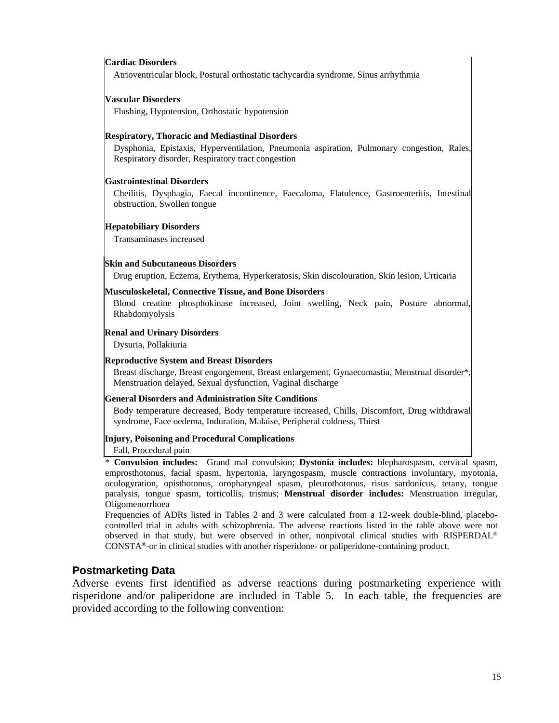#### **Cardiac Disorders**

Atrioventricular block, Postural orthostatic tachycardia syndrome, Sinus arrhythmia

### **Vascular Disorders**

Flushing, Hypotension, Orthostatic hypotension

#### **Respiratory, Thoracic and Mediastinal Disorders**

Dysphonia, Epistaxis, Hyperventilation, Pneumonia aspiration, Pulmonary congestion, Rales, Respiratory disorder, Respiratory tract congestion

#### **Gastrointestinal Disorders**

Cheilitis, Dysphagia, Faecal incontinence, Faecaloma, Flatulence, Gastroenteritis, Intestinal obstruction, Swollen tongue

#### **Hepatobiliary Disorders**

Transaminases increased

#### **Skin and Subcutaneous Disorders**

Drug eruption, Eczema, Erythema, Hyperkeratosis, Skin discolouration, Skin lesion, Urticaria

#### **Musculoskeletal, Connective Tissue, and Bone Disorders**

Blood creatine phosphokinase increased, Joint swelling, Neck pain, Posture abnormal, Rhabdomyolysis

#### **Renal and Urinary Disorders**

Dysuria, Pollakiuria

#### **Reproductive System and Breast Disorders**

Breast discharge, Breast engorgement, Breast enlargement, Gynaecomastia, Menstrual disorder\*, Menstruation delayed, Sexual dysfunction, Vaginal discharge

#### **General Disorders and Administration Site Conditions**

Body temperature decreased, Body temperature increased, Chills, Discomfort, Drug withdrawal syndrome, Face oedema, Induration, Malaise, Peripheral coldness, Thirst

#### **Injury, Poisoning and Procedural Complications**

#### Fall, Procedural pain

\* **Convulsion includes:** Grand mal convulsion; **Dystonia includes:** blepharospasm, cervical spasm, emprosthotonus, facial spasm, hypertonia, laryngospasm, muscle contractions involuntary, myotonia, oculogyration, opisthotonus, oropharyngeal spasm, pleurothotonus, risus sardonicus, tetany, tongue paralysis, tongue spasm, torticollis, trismus; **Menstrual disorder includes:** Menstruation irregular, Oligomenorrhoea

Frequencies of ADRs listed in Tables 2 and 3 were calculated from a 12-week double-blind, placebocontrolled trial in adults with schizophrenia. The adverse reactions listed in the table above were not observed in that study, but were observed in other, nonpivotal clinical studies with RISPERDAL® CONSTA®-or in clinical studies with another risperidone- or paliperidone-containing product.

#### **Postmarketing Data**

Adverse events first identified as adverse reactions during postmarketing experience with risperidone and/or paliperidone are included in Table 5. In each table, the frequencies are provided according to the following convention: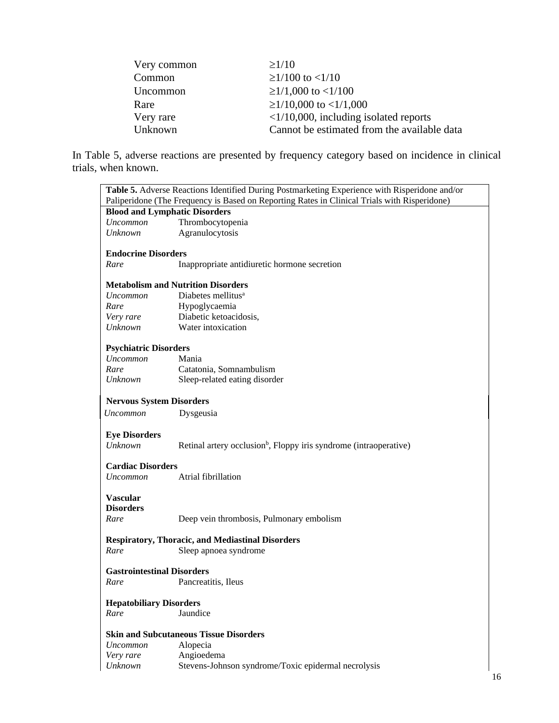| Very common | $\geq$ 1/10                                    |
|-------------|------------------------------------------------|
| Common      | $\geq$ 1/100 to <1/10                          |
| Uncommon    | $\geq$ 1/1,000 to <1/100                       |
| Rare        | $\geq$ 1/10,000 to <1/1,000                    |
| Very rare   | $\langle 1/10,000,$ including isolated reports |
| Unknown     | Cannot be estimated from the available data    |

In Table 5, adverse reactions are presented by frequency category based on incidence in clinical trials, when known.

|                                                                                              | Table 5. Adverse Reactions Identified During Postmarketing Experience with Risperidone and/or |  |
|----------------------------------------------------------------------------------------------|-----------------------------------------------------------------------------------------------|--|
| Paliperidone (The Frequency is Based on Reporting Rates in Clinical Trials with Risperidone) |                                                                                               |  |
| <b>Blood and Lymphatic Disorders</b>                                                         |                                                                                               |  |
| <b>Uncommon</b>                                                                              | Thrombocytopenia                                                                              |  |
| Unknown                                                                                      | Agranulocytosis                                                                               |  |
|                                                                                              |                                                                                               |  |
| <b>Endocrine Disorders</b>                                                                   |                                                                                               |  |
| Rare                                                                                         | Inappropriate antidiuretic hormone secretion                                                  |  |
|                                                                                              |                                                                                               |  |
|                                                                                              | <b>Metabolism and Nutrition Disorders</b>                                                     |  |
| <i>Uncommon</i>                                                                              | Diabetes mellitus <sup>a</sup>                                                                |  |
| Rare                                                                                         | Hypoglycaemia                                                                                 |  |
| Very rare                                                                                    | Diabetic ketoacidosis,                                                                        |  |
| Unknown                                                                                      | Water intoxication                                                                            |  |
|                                                                                              |                                                                                               |  |
| <b>Psychiatric Disorders</b>                                                                 |                                                                                               |  |
| <i>Uncommon</i>                                                                              | Mania                                                                                         |  |
| Rare                                                                                         | Catatonia, Somnambulism                                                                       |  |
| <b>Unknown</b>                                                                               | Sleep-related eating disorder                                                                 |  |
| <b>Nervous System Disorders</b>                                                              |                                                                                               |  |
| <b>Uncommon</b>                                                                              | Dysgeusia                                                                                     |  |
|                                                                                              |                                                                                               |  |
| <b>Eye Disorders</b>                                                                         |                                                                                               |  |
| Unknown                                                                                      | Retinal artery occlusion <sup>b</sup> , Floppy iris syndrome (intraoperative)                 |  |
|                                                                                              |                                                                                               |  |
| <b>Cardiac Disorders</b>                                                                     |                                                                                               |  |
| <i>Uncommon</i>                                                                              | Atrial fibrillation                                                                           |  |
|                                                                                              |                                                                                               |  |
| <b>Vascular</b>                                                                              |                                                                                               |  |
| <b>Disorders</b>                                                                             |                                                                                               |  |
| Rare                                                                                         | Deep vein thrombosis, Pulmonary embolism                                                      |  |
|                                                                                              |                                                                                               |  |
|                                                                                              | <b>Respiratory, Thoracic, and Mediastinal Disorders</b>                                       |  |
| Rare                                                                                         | Sleep apnoea syndrome                                                                         |  |
| <b>Gastrointestinal Disorders</b>                                                            |                                                                                               |  |
|                                                                                              |                                                                                               |  |
| Rare                                                                                         | Pancreatitis, Ileus                                                                           |  |
| <b>Hepatobiliary Disorders</b>                                                               |                                                                                               |  |
| Rare                                                                                         | Jaundice                                                                                      |  |
|                                                                                              |                                                                                               |  |
| <b>Skin and Subcutaneous Tissue Disorders</b>                                                |                                                                                               |  |
| <i>Uncommon</i>                                                                              | Alopecia                                                                                      |  |
| Very rare                                                                                    | Angioedema                                                                                    |  |
| <b>Unknown</b>                                                                               | Stevens-Johnson syndrome/Toxic epidermal necrolysis                                           |  |
|                                                                                              |                                                                                               |  |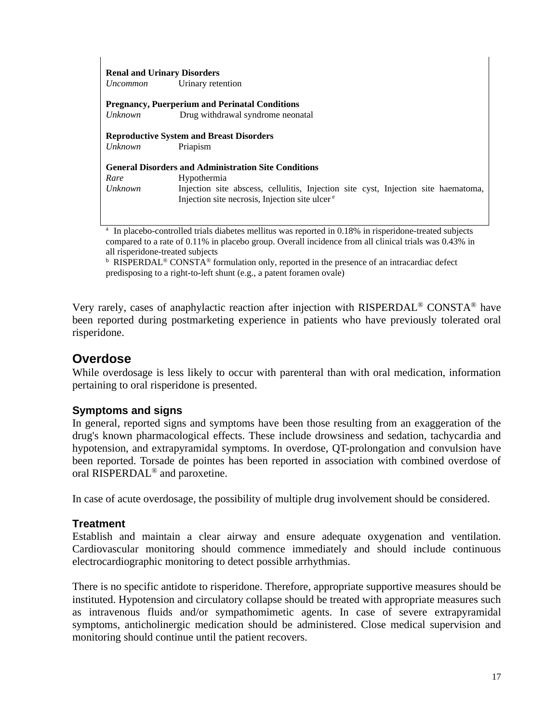| <b>Renal and Urinary Disorders</b><br><i>Uncommon</i> | Urinary retention                                                                                                                              |
|-------------------------------------------------------|------------------------------------------------------------------------------------------------------------------------------------------------|
| Unknown                                               | <b>Pregnancy, Puerperium and Perinatal Conditions</b><br>Drug withdrawal syndrome neonatal                                                     |
| Unknown                                               | <b>Reproductive System and Breast Disorders</b><br>Priapism                                                                                    |
|                                                       | <b>General Disorders and Administration Site Conditions</b>                                                                                    |
| Rare                                                  | <b>Hypothermia</b>                                                                                                                             |
| <i>Unknown</i>                                        | Injection site abscess, cellulitis, Injection site cyst, Injection site haematoma,<br>Injection site necrosis, Injection site ulcer $\epsilon$ |
|                                                       | <sup>a</sup> In placebo-controlled trials diabetes mellitus was reported in $0.18\%$ in risperidone-treated subjects                           |

In placebo-controlled trials diabetes mellitus was reported in 0.18% in risperidone-treated subjects compared to a rate of 0.11% in placebo group. Overall incidence from all clinical trials was 0.43% in all risperidone-treated subjects

<sup>b</sup> RISPERDAL<sup>®</sup> CONSTA<sup>®</sup> formulation only, reported in the presence of an intracardiac defect predisposing to a right-to-left shunt (e.g., a patent foramen ovale)

Very rarely, cases of anaphylactic reaction after injection with RISPERDAL<sup>®</sup> CONSTA<sup>®</sup> have been reported during postmarketing experience in patients who have previously tolerated oral risperidone.

# **Overdose**

While overdosage is less likely to occur with parenteral than with oral medication, information pertaining to oral risperidone is presented.

### **Symptoms and signs**

In general, reported signs and symptoms have been those resulting from an exaggeration of the drug's known pharmacological effects. These include drowsiness and sedation, tachycardia and hypotension, and extrapyramidal symptoms. In overdose, QT-prolongation and convulsion have been reported. Torsade de pointes has been reported in association with combined overdose of oral RISPERDAL® and paroxetine.

In case of acute overdosage, the possibility of multiple drug involvement should be considered.

### **Treatment**

Establish and maintain a clear airway and ensure adequate oxygenation and ventilation. Cardiovascular monitoring should commence immediately and should include continuous electrocardiographic monitoring to detect possible arrhythmias.

There is no specific antidote to risperidone. Therefore, appropriate supportive measures should be instituted. Hypotension and circulatory collapse should be treated with appropriate measures such as intravenous fluids and/or sympathomimetic agents. In case of severe extrapyramidal symptoms, anticholinergic medication should be administered. Close medical supervision and monitoring should continue until the patient recovers.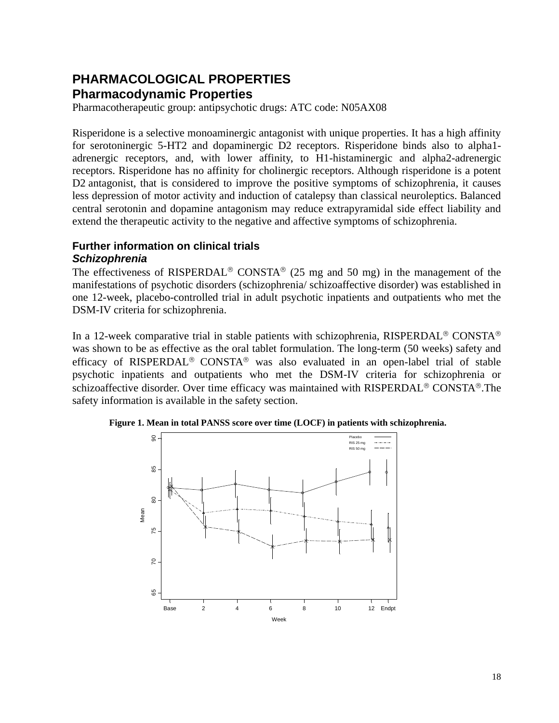# **PHARMACOLOGICAL PROPERTIES Pharmacodynamic Properties**

Pharmacotherapeutic group: antipsychotic drugs: ATC code: N05AX08

Risperidone is a selective monoaminergic antagonist with unique properties. It has a high affinity for serotoninergic 5-HT2 and dopaminergic D2 receptors. Risperidone binds also to alpha1 adrenergic receptors, and, with lower affinity, to H1-histaminergic and alpha2-adrenergic receptors. Risperidone has no affinity for cholinergic receptors. Although risperidone is a potent D2 antagonist, that is considered to improve the positive symptoms of schizophrenia, it causes less depression of motor activity and induction of catalepsy than classical neuroleptics. Balanced central serotonin and dopamine antagonism may reduce extrapyramidal side effect liability and extend the therapeutic activity to the negative and affective symptoms of schizophrenia.

### **Further information on clinical trials** *Schizophrenia*

The effectiveness of RISPERDAL<sup>®</sup> CONSTA<sup>®</sup> (25 mg and 50 mg) in the management of the manifestations of psychotic disorders (schizophrenia/ schizoaffective disorder) was established in one 12-week, placebo-controlled trial in adult psychotic inpatients and outpatients who met the DSM-IV criteria for schizophrenia.

In a 12-week comparative trial in stable patients with schizophrenia, RISPERDAL<sup>®</sup> CONSTA<sup>®</sup> was shown to be as effective as the oral tablet formulation. The long-term (50 weeks) safety and efficacy of RISPERDAL<sup>®</sup> CONSTA<sup>®</sup> was also evaluated in an open-label trial of stable psychotic inpatients and outpatients who met the DSM-IV criteria for schizophrenia or schizoaffective disorder. Over time efficacy was maintained with RISPERDAL® CONSTA®.The safety information is available in the safety section.



**Figure 1. Mean in total PANSS score over time (LOCF) in patients with schizophrenia.**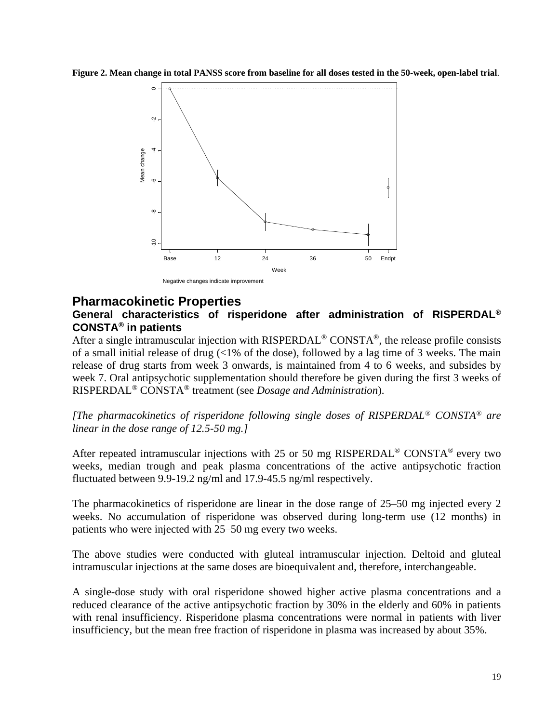**Figure 2. Mean change in total PANSS score from baseline for all doses tested in the 50-week, open-label trial**.



### **Pharmacokinetic Properties**

### **General characteristics of risperidone after administration of RISPERDAL® CONSTA® in patients**

After a single intramuscular injection with RISPERDAL<sup>®</sup> CONSTA<sup>®</sup>, the release profile consists of a small initial release of drug  $\langle$ <1% of the dose), followed by a lag time of 3 weeks. The main release of drug starts from week 3 onwards, is maintained from 4 to 6 weeks, and subsides by week 7. Oral antipsychotic supplementation should therefore be given during the first 3 weeks of RISPERDAL® CONSTA® treatment (see *Dosage and Administration*).

*[The pharmacokinetics of risperidone following single doses of RISPERDAL® CONSTA® are linear in the dose range of 12.5-50 mg.]*

After repeated intramuscular injections with 25 or 50 mg RISPERDAL<sup>®</sup> CONSTA<sup>®</sup> every two weeks, median trough and peak plasma concentrations of the active antipsychotic fraction fluctuated between 9.9-19.2 ng/ml and 17.9-45.5 ng/ml respectively.

The pharmacokinetics of risperidone are linear in the dose range of 25–50 mg injected every 2 weeks. No accumulation of risperidone was observed during long-term use (12 months) in patients who were injected with 25–50 mg every two weeks.

The above studies were conducted with gluteal intramuscular injection. Deltoid and gluteal intramuscular injections at the same doses are bioequivalent and, therefore, interchangeable.

A single-dose study with oral risperidone showed higher active plasma concentrations and a reduced clearance of the active antipsychotic fraction by 30% in the elderly and 60% in patients with renal insufficiency. Risperidone plasma concentrations were normal in patients with liver insufficiency, but the mean free fraction of risperidone in plasma was increased by about 35%.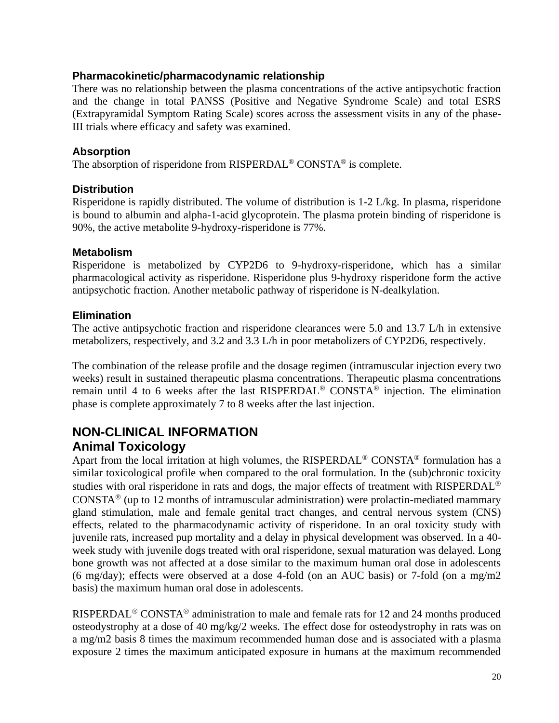### **Pharmacokinetic/pharmacodynamic relationship**

There was no relationship between the plasma concentrations of the active antipsychotic fraction and the change in total PANSS (Positive and Negative Syndrome Scale) and total ESRS (Extrapyramidal Symptom Rating Scale) scores across the assessment visits in any of the phase-III trials where efficacy and safety was examined.

### **Absorption**

The absorption of risperidone from RISPERDAL® CONSTA® is complete.

### **Distribution**

Risperidone is rapidly distributed. The volume of distribution is 1-2 L/kg. In plasma, risperidone is bound to albumin and alpha-1-acid glycoprotein. The plasma protein binding of risperidone is 90%, the active metabolite 9-hydroxy-risperidone is 77%.

### **Metabolism**

Risperidone is metabolized by CYP2D6 to 9-hydroxy-risperidone, which has a similar pharmacological activity as risperidone. Risperidone plus 9-hydroxy risperidone form the active antipsychotic fraction. Another metabolic pathway of risperidone is N-dealkylation.

### **Elimination**

The active antipsychotic fraction and risperidone clearances were 5.0 and 13.7 L/h in extensive metabolizers, respectively, and 3.2 and 3.3 L/h in poor metabolizers of CYP2D6, respectively.

The combination of the release profile and the dosage regimen (intramuscular injection every two weeks) result in sustained therapeutic plasma concentrations. Therapeutic plasma concentrations remain until 4 to 6 weeks after the last RISPERDAL® CONSTA® injection. The elimination phase is complete approximately 7 to 8 weeks after the last injection.

# **NON-CLINICAL INFORMATION Animal Toxicology**

Apart from the local irritation at high volumes, the RISPERDAL<sup>®</sup> CONSTA<sup>®</sup> formulation has a similar toxicological profile when compared to the oral formulation. In the (sub)chronic toxicity studies with oral risperidone in rats and dogs, the major effects of treatment with RISPERDAL<sup>®</sup> CONSTA<sup>®</sup> (up to 12 months of intramuscular administration) were prolactin-mediated mammary gland stimulation, male and female genital tract changes, and central nervous system (CNS) effects, related to the pharmacodynamic activity of risperidone. In an oral toxicity study with juvenile rats, increased pup mortality and a delay in physical development was observed. In a 40 week study with juvenile dogs treated with oral risperidone, sexual maturation was delayed. Long bone growth was not affected at a dose similar to the maximum human oral dose in adolescents (6 mg/day); effects were observed at a dose 4-fold (on an AUC basis) or 7-fold (on a mg/m2 basis) the maximum human oral dose in adolescents.

RISPERDAL<sup>®</sup> CONSTA<sup>®</sup> administration to male and female rats for 12 and 24 months produced osteodystrophy at a dose of 40 mg/kg/2 weeks. The effect dose for osteodystrophy in rats was on a mg/m2 basis 8 times the maximum recommended human dose and is associated with a plasma exposure 2 times the maximum anticipated exposure in humans at the maximum recommended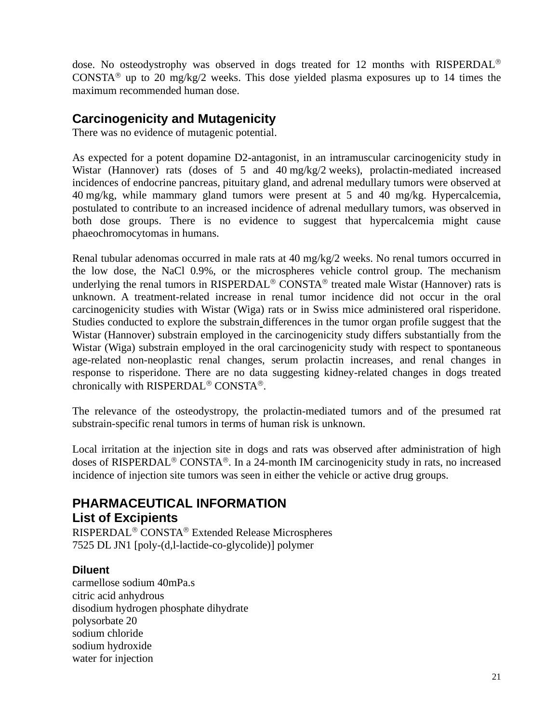dose. No osteodystrophy was observed in dogs treated for 12 months with RISPERDAL<sup>®</sup> CONSTA<sup>®</sup> up to 20 mg/kg/2 weeks. This dose yielded plasma exposures up to 14 times the maximum recommended human dose.

# **Carcinogenicity and Mutagenicity**

There was no evidence of mutagenic potential.

As expected for a potent dopamine D2-antagonist, in an intramuscular carcinogenicity study in Wistar (Hannover) rats (doses of 5 and 40 mg/kg/2 weeks), prolactin-mediated increased incidences of endocrine pancreas, pituitary gland, and adrenal medullary tumors were observed at 40 mg/kg, while mammary gland tumors were present at 5 and 40 mg/kg. Hypercalcemia, postulated to contribute to an increased incidence of adrenal medullary tumors, was observed in both dose groups. There is no evidence to suggest that hypercalcemia might cause phaeochromocytomas in humans.

Renal tubular adenomas occurred in male rats at 40 mg/kg/2 weeks. No renal tumors occurred in the low dose, the NaCl 0.9%, or the microspheres vehicle control group. The mechanism underlying the renal tumors in RISPERDAL<sup>®</sup> CONSTA<sup>®</sup> treated male Wistar (Hannover) rats is unknown. A treatment-related increase in renal tumor incidence did not occur in the oral carcinogenicity studies with Wistar (Wiga) rats or in Swiss mice administered oral risperidone. Studies conducted to explore the substrain differences in the tumor organ profile suggest that the Wistar (Hannover) substrain employed in the carcinogenicity study differs substantially from the Wistar (Wiga) substrain employed in the oral carcinogenicity study with respect to spontaneous age-related non-neoplastic renal changes, serum prolactin increases, and renal changes in response to risperidone. There are no data suggesting kidney-related changes in dogs treated chronically with RISPERDAL<sup>®</sup> CONSTA<sup>®</sup>.

The relevance of the osteodystropy, the prolactin-mediated tumors and of the presumed rat substrain-specific renal tumors in terms of human risk is unknown.

Local irritation at the injection site in dogs and rats was observed after administration of high doses of RISPERDAL<sup>®</sup> CONSTA<sup>®</sup>. In a 24-month IM carcinogenicity study in rats, no increased incidence of injection site tumors was seen in either the vehicle or active drug groups.

# **PHARMACEUTICAL INFORMATION List of Excipients**

RISPERDAL<sup>®</sup> CONSTA<sup>®</sup> Extended Release Microspheres 7525 DL JN1 [poly-(d,l-lactide-co-glycolide)] polymer

### **Diluent**

carmellose sodium 40mPa.s citric acid anhydrous disodium hydrogen phosphate dihydrate polysorbate 20 sodium chloride sodium hydroxide water for injection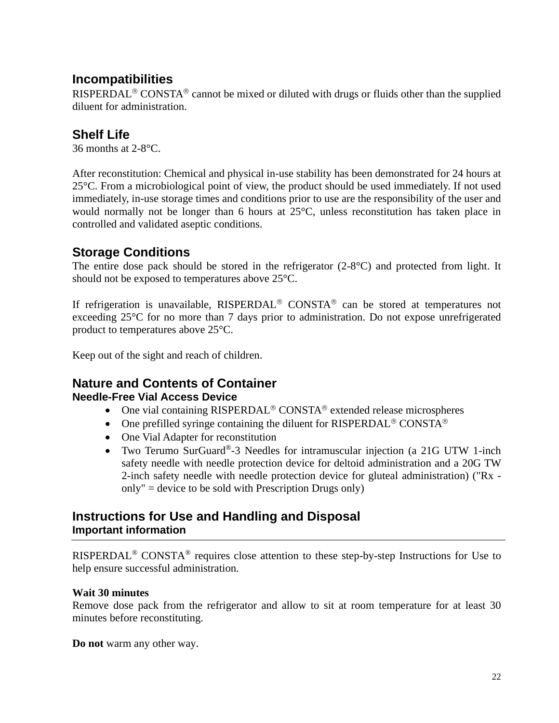# **Incompatibilities**

RISPERDAL<sup>®</sup> CONSTA<sup>®</sup> cannot be mixed or diluted with drugs or fluids other than the supplied diluent for administration.

# **Shelf Life**

36 months at 2-8°C.

After reconstitution: Chemical and physical in-use stability has been demonstrated for 24 hours at 25°C. From a microbiological point of view, the product should be used immediately. If not used immediately, in-use storage times and conditions prior to use are the responsibility of the user and would normally not be longer than 6 hours at 25°C, unless reconstitution has taken place in controlled and validated aseptic conditions.

# **Storage Conditions**

The entire dose pack should be stored in the refrigerator (2-8°C) and protected from light. It should not be exposed to temperatures above 25°C.

If refrigeration is unavailable,  $RISPERDAL^@$  CONSTA<sup>®</sup> can be stored at temperatures not exceeding 25°C for no more than 7 days prior to administration. Do not expose unrefrigerated product to temperatures above 25°C.

Keep out of the sight and reach of children.

### **Nature and Contents of Container Needle-Free Vial Access Device**

- One vial containing  $RISPERDAL^@$   $CONSTA^@$  extended release microspheres
- One prefilled syringe containing the diluent for RISPERDAL<sup>®</sup> CONSTA<sup>®</sup>
- One Vial Adapter for reconstitution
- Two Terumo SurGuard<sup>®</sup>-3 Needles for intramuscular injection (a 21G UTW 1-inch safety needle with needle protection device for deltoid administration and a 20G TW 2-inch safety needle with needle protection device for gluteal administration) ("Rx only" = device to be sold with Prescription Drugs only)

# **Instructions for Use and Handling and Disposal Important information**

RISPERDAL® CONSTA® requires close attention to these step-by-step Instructions for Use to help ensure successful administration.

### **Wait 30 minutes**

Remove dose pack from the refrigerator and allow to sit at room temperature for at least 30 minutes before reconstituting.

**Do not** warm any other way.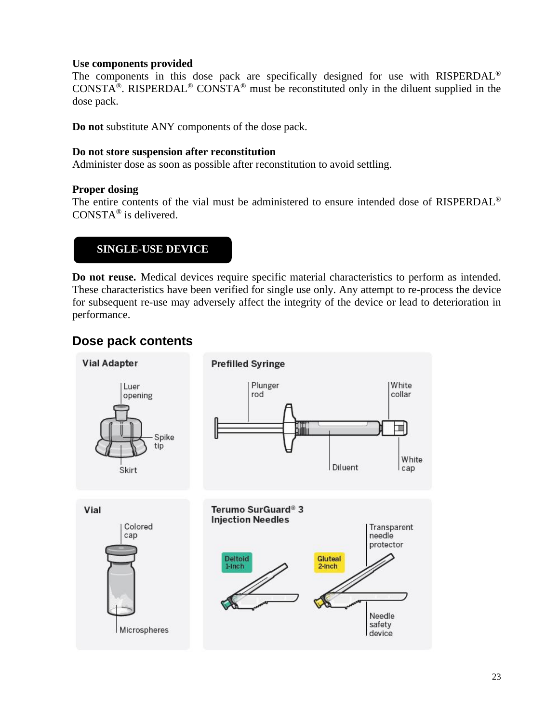### **Use components provided**

The components in this dose pack are specifically designed for use with RISPERDAL<sup>®</sup> CONSTA<sup>®</sup>. RISPERDAL<sup>®</sup> CONSTA<sup>®</sup> must be reconstituted only in the diluent supplied in the dose pack.

**Do not** substitute ANY components of the dose pack.

### **Do not store suspension after reconstitution**

Administer dose as soon as possible after reconstitution to avoid settling.

### **Proper dosing**

The entire contents of the vial must be administered to ensure intended dose of RISPERDAL® CONSTA® is delivered.

### **SINGLE-USE DEVICE**

**Do not reuse.** Medical devices require specific material characteristics to perform as intended. These characteristics have been verified for single use only. Any attempt to re-process the device for subsequent re-use may adversely affect the integrity of the device or lead to deterioration in performance.

# **Dose pack contents**

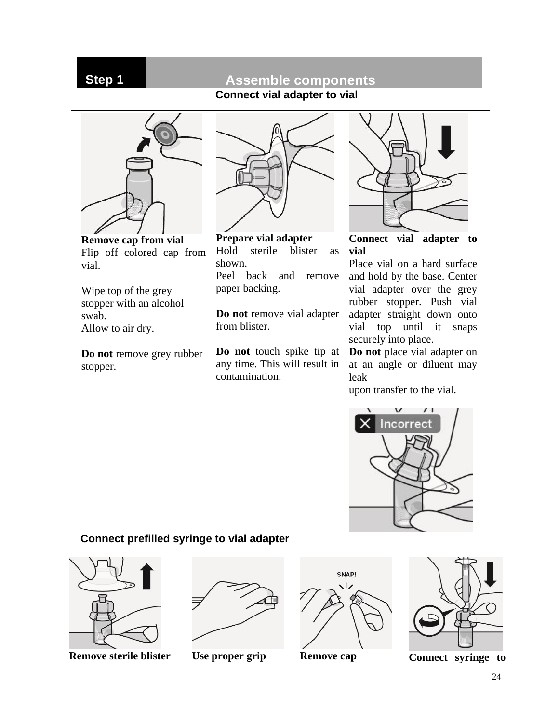# **Step 1 Assemble components**

**Connect vial adapter to vial**



**Remove cap from vial** Flip off colored cap from vial.

Wipe top of the grey stopper with an alcohol swab. Allow to air dry.

**Do not** remove grey rubber stopper.



**Prepare vial adapter** Hold sterile blister as shown. Peel back and remove paper backing.

**Do not** remove vial adapter from blister.

**Do not** touch spike tip at any time. This will result in contamination.



**Connect vial adapter to vial**

Place vial on a hard surface and hold by the base. Center vial adapter over the grey rubber stopper. Push vial adapter straight down onto vial top until it snaps securely into place.

**Do not** place vial adapter on at an angle or diluent may leak

upon transfer to the vial.



### **Connect prefilled syringe to vial adapter**



**Remove sterile blister Use proper grip Remove cap Connect syringe to** 



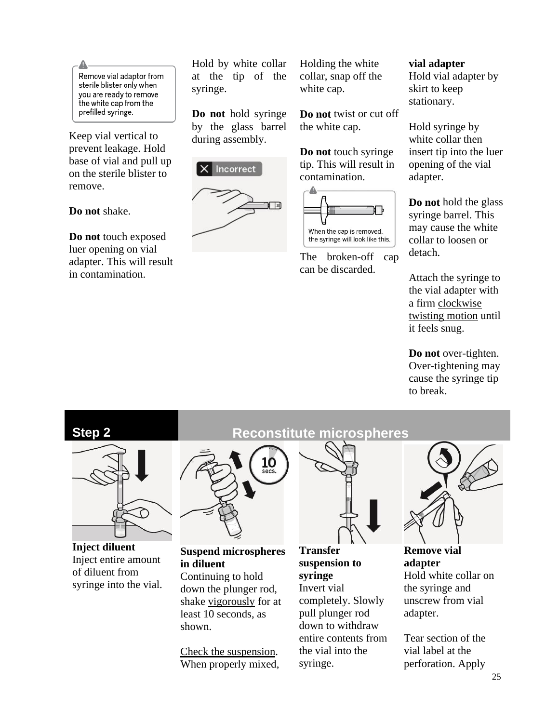Remove vial adaptor from sterile blister only when you are ready to remove the white cap from the prefilled syringe.

Keep vial vertical to prevent leakage. Hold base of vial and pull up on the sterile blister to remove.

**Do not** shake.

**Do not** touch exposed luer opening on vial adapter. This will result in contamination.

Hold by white collar at the tip of the syringe.

**Do not** hold syringe by the glass barrel during assembly.



Holding the white collar, snap off the white cap.

**Do not** twist or cut off the white cap.

**Do not** touch syringe tip. This will result in contamination.



The broken-off cap can be discarded.

### **vial adapter**

Hold vial adapter by skirt to keep stationary.

Hold syringe by white collar then insert tip into the luer opening of the vial adapter.

**Do not** hold the glass syringe barrel. This may cause the white collar to loosen or detach.

Attach the syringe to the vial adapter with a firm clockwise twisting motion until it feels snug.

**Do not** over-tighten. Over-tightening may cause the syringe tip to break.



**Inject diluent** Inject entire amount of diluent from syringe into the vial.

# **Step 2 Reconstitute microspheres**



### **Suspend microspheres in diluent**

Continuing to hold down the plunger rod, shake vigorously for at least 10 seconds, as shown.

Check the suspension. When properly mixed,



**Transfer suspension to syringe** Invert vial

completely. Slowly pull plunger rod down to withdraw entire contents from the vial into the syringe.



**Remove vial adapter** Hold white collar on the syringe and unscrew from vial adapter.

Tear section of the vial label at the perforation. Apply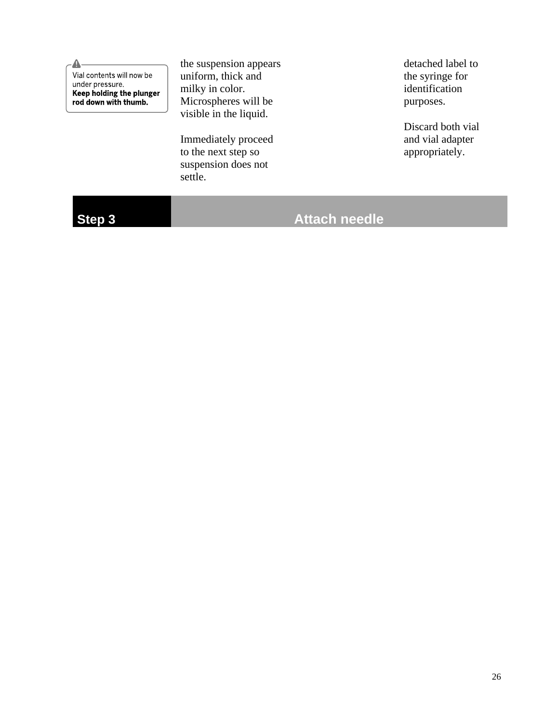Δ Vial contents will now be under pressure. Keep holding the plunger<br>rod down with thumb.

the suspension appears uniform, thick and milky in color. Microspheres will be visible in the liquid.

Immediately proceed to the next step so suspension does not settle.

detached label to the syringe for identification purposes.

Discard both vial and vial adapter appropriately.

# **Step 3 Attach needle**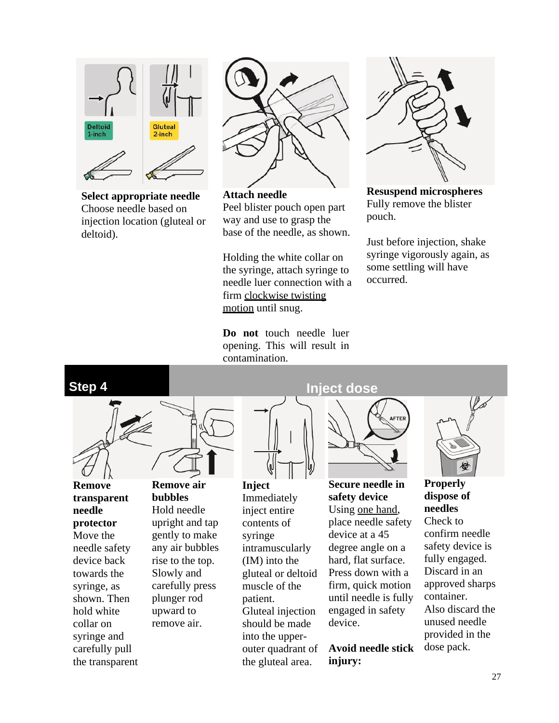

**Select appropriate needle** Choose needle based on injection location (gluteal or deltoid).



**Attach needle** Peel blister pouch open part way and use to grasp the base of the needle, as shown.

Holding the white collar on the syringe, attach syringe to needle luer connection with a firm clockwise twisting motion until snug.

**Do not** touch needle luer opening. This will result in contamination.



**Resuspend microspheres** Fully remove the blister pouch.

Just before injection, shake syringe vigorously again, as some settling will have occurred.



**Remove transparent needle protector** Move the needle safety device back towards the syringe, as shown. Then hold white collar on syringe and carefully pull the transparent **Remove air bubbles** Hold needle upright and tap gently to make

any air bubbles rise to the top. Slowly and carefully press plunger rod upward to remove air.



**Inject** Immediately inject entire contents of syringe intramuscularly (IM) into the gluteal or deltoid muscle of the patient. Gluteal injection should be made into the upperouter quadrant of the gluteal area.

**Step 4 Inject dose** 



**Secure needle in safety device** Using one hand, place needle safety device at a 45 degree angle on a hard, flat surface. Press down with a firm, quick motion until needle is fully engaged in safety device.

**Avoid needle stick injury:**



**Properly dispose of needles** Check to confirm needle safety device is fully engaged. Discard in an approved sharps container. Also discard the unused needle provided in the dose pack.